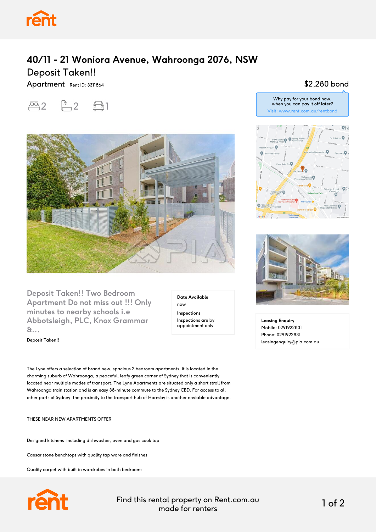

## **40/11 - 21 Woniora Avenue, Wahroonga 2076, NSW** Deposit Taken!!

Apartment Rent ID: 3311864





**Deposit Taken!! Two Bedroom Apartment Do not miss out !!! Only minutes to nearby schools i.e Abbotsleigh, PLC, Knox Grammar &...**

Deposit Taken!!

now **Inspections** Inspections are by appointment only

**Date Available**

The Lyne offers a selection of brand new, spacious 2 bedroom apartments, it is located in the charming suburb of Wahroonga, a peaceful, leafy green corner of Sydney that is conveniently located near multiple modes of transport. The Lyne Apartments are situated only a short stroll from Wahroonga train station and is an easy 38-minute commute to the Sydney CBD. For access to all other parts of Sydney, the proximity to the transport hub of Hornsby is another enviable advantage.

THESE NEAR NEW APARTMENTS OFFER

Designed kitchens including dishwasher, oven and gas cook top

Caesar stone benchtops with quality tap ware and finishes

Quality carpet with built in wardrobes in both bedrooms



Find this rental property on Rent.com.au made for renters 1 of 2

## \$2,280 bond





**Leasing Enquiry** Mobile: 0291922831 Phone: 0291922831 leasingenquiry@pia.com.au